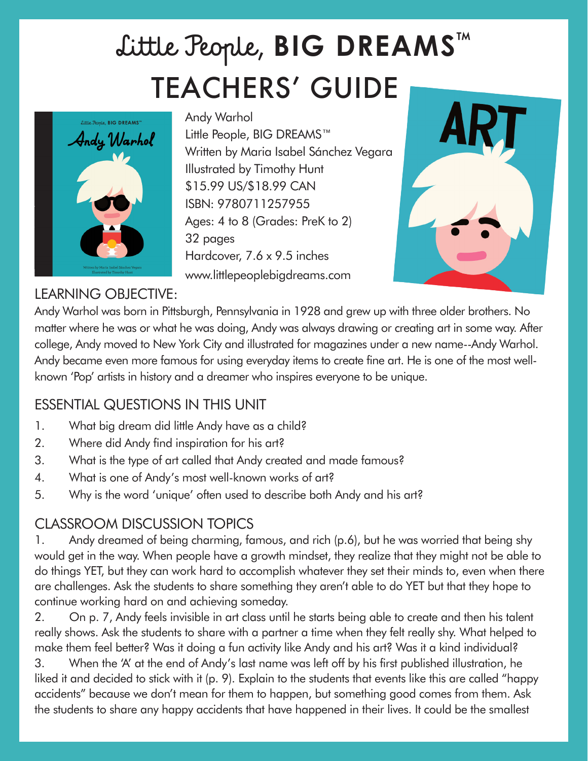# TEACHERS' GUIDE Little People, **BIG DREAMS**™



Andy Warhol Little People, BIG DREAMS™ Written by Maria Isabel Sánchez Vegara Illustrated by Timothy Hunt \$15.99 US/\$18.99 CAN ISBN: 9780711257955 Ages: 4 to 8 (Grades: PreK to 2) 32 pages Hardcover, 7.6 x 9.5 inches www.littlepeoplebigdreams.com



#### LEARNING OBJECTIVE:

Andy Warhol was born in Pittsburgh, Pennsylvania in 1928 and grew up with three older brothers. No matter where he was or what he was doing, Andy was always drawing or creating art in some way. After college, Andy moved to New York City and illustrated for magazines under a new name--Andy Warhol. Andy became even more famous for using everyday items to create fine art. He is one of the most wellknown 'Pop' artists in history and a dreamer who inspires everyone to be unique.

## ESSENTIAL QUESTIONS IN THIS UNIT

- 1. What big dream did little Andy have as a child?
- 2. Where did Andy find inspiration for his art?
- 3. What is the type of art called that Andy created and made famous?
- 4. What is one of Andy's most well-known works of art?
- 5. Why is the word 'unique' often used to describe both Andy and his art?

## CLASSROOM DISCUSSION TOPICS

1. Andy dreamed of being charming, famous, and rich (p.6), but he was worried that being shy would get in the way. When people have a growth mindset, they realize that they might not be able to do things YET, but they can work hard to accomplish whatever they set their minds to, even when there are challenges. Ask the students to share something they aren't able to do YET but that they hope to continue working hard on and achieving someday.

2. On p. 7, Andy feels invisible in art class until he starts being able to create and then his talent really shows. Ask the students to share with a partner a time when they felt really shy. What helped to make them feel better? Was it doing a fun activity like Andy and his art? Was it a kind individual? 3. When the 'A' at the end of Andy's last name was left off by his first published illustration, he

liked it and decided to stick with it (p. 9). Explain to the students that events like this are called "happy accidents" because we don't mean for them to happen, but something good comes from them. Ask the students to share any happy accidents that have happened in their lives. It could be the smallest